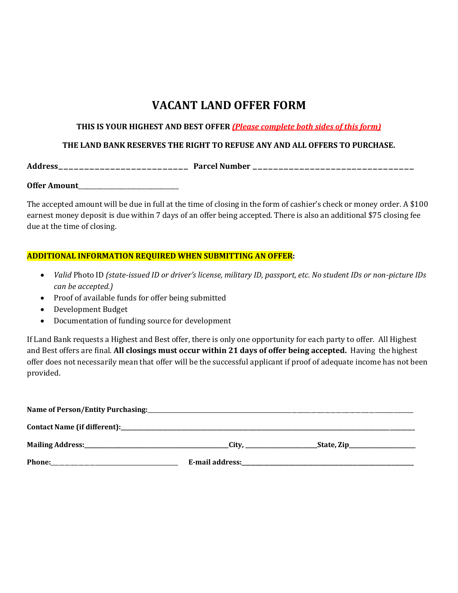# **VACANT LAND OFFER FORM**

### **THIS IS YOUR HIGHEST AND BEST OFFER** *(Please complete both sides of this form)*

## **THE LAND BANK RESERVES THE RIGHT TO REFUSE ANY AND ALL OFFERS TO PURCHASE.**

**Address**\_\_\_\_\_\_\_\_\_\_\_\_\_\_\_\_\_\_\_\_\_\_\_\_\_ **Parcel Number** \_\_\_\_\_\_\_\_\_\_\_\_\_\_\_\_\_\_\_\_\_\_\_\_\_\_\_\_\_\_\_

**Offer Amount**\_\_\_\_\_\_\_\_\_\_\_\_\_\_\_\_\_\_\_\_\_\_\_\_\_\_\_\_\_\_\_\_\_

The accepted amount will be due in full at the time of closing in the form of cashier's check or money order. A \$100 earnest money deposit is due within 7 days of an offer being accepted. There is also an additional \$75 closing fee due at the time of closing.

#### **ADDITIONAL INFORMATION REQUIRED WHEN SUBMITTING AN OFFER:**

- *Valid* Photo ID *(state-issued ID or driver's license, military ID, passport, etc. No student IDs or non-picture IDs can be accepted.)*
- Proof of available funds for offer being submitted
- Development Budget
- Documentation of funding source for development

If Land Bank requests a Highest and Best offer, there is only one opportunity for each party to offer. All Highest and Best offers are final. **All closings must occur within 21 days of offer being accepted.** Having the highest offer does not necessarily mean that offer will be the successful applicant if proof of adequate income has not been provided.

| Name of Person/Entity Purchasing:                                                                   | <u> 1989 - Johann Harry Harry Harry Harry Harry Harry Harry Harry Harry Harry Harry Harry Harry Harry Harry Harry</u> |                               |  |
|-----------------------------------------------------------------------------------------------------|-----------------------------------------------------------------------------------------------------------------------|-------------------------------|--|
|                                                                                                     |                                                                                                                       |                               |  |
|                                                                                                     |                                                                                                                       | __State, Zip_________________ |  |
| Phone:<br>the control of the control of the control of the control of the control of the control of |                                                                                                                       |                               |  |